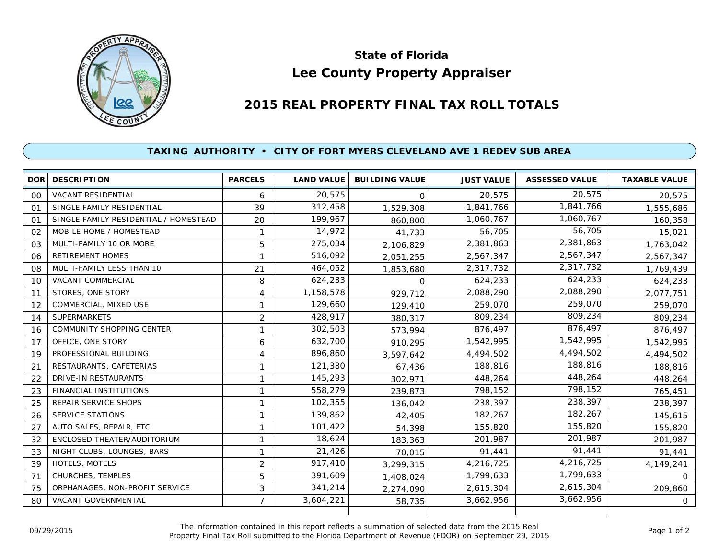

## **Lee County Property Appraiser State of Florida**

## **2015 REAL PROPERTY FINAL TAX ROLL TOTALS**

## **TAXING AUTHORITY • CITY OF FORT MYERS CLEVELAND AVE 1 REDEV SUB AREA**

| <b>DOR</b> | <b>DESCRIPTION</b>                    | <b>PARCELS</b> | <b>LAND VALUE</b> | <b>BUILDING VALUE</b> | <b>JUST VALUE</b> | <b>ASSESSED VALUE</b> | <b>TAXABLE VALUE</b> |
|------------|---------------------------------------|----------------|-------------------|-----------------------|-------------------|-----------------------|----------------------|
| 00         | <b>VACANT RESIDENTIAL</b>             | 6              | 20,575            | $\Omega$              | 20,575            | 20.575                | 20,575               |
| 01         | SINGLE FAMILY RESIDENTIAL             | 39             | 312,458           | 1,529,308             | 1,841,766         | 1,841,766             | 1,555,686            |
| 01         | SINGLE FAMILY RESIDENTIAL / HOMESTEAD | 20             | 199,967           | 860,800               | 1,060,767         | 1,060,767             | 160,358              |
| 02         | MOBILE HOME / HOMESTEAD               | $\mathbf{1}$   | 14,972            | 41,733                | 56,705            | 56,705                | 15,021               |
| 03         | MULTI-FAMILY 10 OR MORE               | 5              | 275,034           | 2,106,829             | 2,381,863         | 2,381,863             | 1,763,042            |
| 06         | <b>RETIREMENT HOMES</b>               | $\mathbf{1}$   | 516,092           | 2,051,255             | 2,567,347         | 2,567,347             | 2,567,347            |
| 08         | MULTI-FAMILY LESS THAN 10             | 21             | 464,052           | 1,853,680             | 2,317,732         | 2,317,732             | 1,769,439            |
| 10         | <b>VACANT COMMERCIAL</b>              | 8              | 624,233           | $\Omega$              | 624,233           | 624,233               | 624,233              |
| 11         | STORES, ONE STORY                     | 4              | 1,158,578         | 929.712               | 2,088,290         | 2,088,290             | 2,077,751            |
| 12         | COMMERCIAL, MIXED USE                 | 1              | 129,660           | 129,410               | 259,070           | 259,070               | 259,070              |
| 14         | <b>SUPERMARKETS</b>                   | $\overline{2}$ | 428,917           | 380,317               | 809,234           | 809,234               | 809,234              |
| 16         | <b>COMMUNITY SHOPPING CENTER</b>      | 1              | 302,503           | 573,994               | 876,497           | 876,497               | 876,497              |
| 17         | OFFICE, ONE STORY                     | 6              | 632,700           | 910,295               | 1,542,995         | 1,542,995             | 1,542,995            |
| 19         | PROFESSIONAL BUILDING                 | 4              | 896,860           | 3,597,642             | 4,494,502         | 4,494,502             | 4,494,502            |
| 21         | RESTAURANTS, CAFETERIAS               | 1              | 121,380           | 67,436                | 188,816           | 188,816               | 188,816              |
| 22         | <b>DRIVE-IN RESTAURANTS</b>           | 1              | 145,293           | 302,971               | 448,264           | 448,264               | 448,264              |
| 23         | <b>FINANCIAL INSTITUTIONS</b>         | $\mathbf{1}$   | 558,279           | 239,873               | 798,152           | 798,152               | 765,451              |
| 25         | REPAIR SERVICE SHOPS                  | 1              | 102,355           | 136,042               | 238,397           | 238,397               | 238,397              |
| 26         | <b>SERVICE STATIONS</b>               | 1              | 139,862           | 42,405                | 182,267           | 182,267               | 145,615              |
| 27         | AUTO SALES, REPAIR, ETC               | 1              | 101,422           | 54,398                | 155,820           | 155,820               | 155,820              |
| 32         | ENCLOSED THEATER/AUDITORIUM           | 1              | 18,624            | 183,363               | 201,987           | 201,987               | 201,987              |
| 33         | NIGHT CLUBS, LOUNGES, BARS            | 1              | 21,426            | 70,015                | 91,441            | 91,441                | 91,441               |
| 39         | <b>HOTELS, MOTELS</b>                 | $\overline{2}$ | 917,410           | 3,299,315             | 4,216,725         | 4,216,725             | 4,149,241            |
| 71         | CHURCHES, TEMPLES                     | 5              | 391,609           | 1,408,024             | 1,799,633         | 1,799,633             | $\Omega$             |
| 75         | ORPHANAGES, NON-PROFIT SERVICE        | 3              | 341,214           | 2,274,090             | 2,615,304         | 2,615,304             | 209,860              |
| 80         | VACANT GOVERNMENTAL                   | $\overline{7}$ | 3,604,221         | 58,735                | 3,662,956         | 3,662,956             | $\mathbf{O}$         |
|            |                                       |                |                   |                       |                   |                       |                      |

The information contained in this report reflects a summation of selected data from the 2015 Real Ine information contained in this report reflects a summation of selected data from the 2015 Real<br>Property Final Tax Roll submitted to the Florida Department of Revenue (FDOR) on September 29, 2015